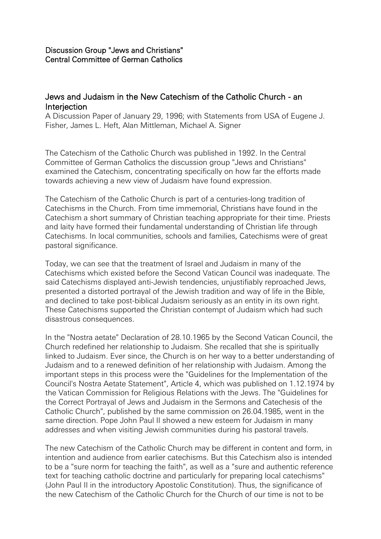## Discussion Group "Jews and Christians" Central Committee of German Catholics

# Jews and Judaism in the New Catechism of the Catholic Church - an **Interjection**

A Discussion Paper of January 29, 1996; with Statements from USA of Eugene J. Fisher, James L. Heft, Alan Mittleman, Michael A. Signer

The Catechism of the Catholic Church was published in 1992. In the Central Committee of German Catholics the discussion group "Jews and Christians" examined the Catechism, concentrating specifically on how far the efforts made towards achieving a new view of Judaism have found expression.

The Catechism of the Catholic Church is part of a centuries-long tradition of Catechisms in the Church. From time immemorial, Christians have found in the Catechism a short summary of Christian teaching appropriate for their time. Priests and laity have formed their fundamental understanding of Christian life through Catechisms. In local communities, schools and families, Catechisms were of great pastoral significance.

Today, we can see that the treatment of Israel and Judaism in many of the Catechisms which existed before the Second Vatican Council was inadequate. The said Catechisms displayed anti-Jewish tendencies, unjustifiably reproached Jews, presented a distorted portrayal of the Jewish tradition and way of life in the Bible, and declined to take post-biblical Judaism seriously as an entity in its own right. These Catechisms supported the Christian contempt of Judaism which had such disastrous consequences.

In the "Nostra aetate" Declaration of 28.10.1965 by the Second Vatican Council, the Church redefined her relationship to Judaism. She recalled that she is spiritually linked to Judaism. Ever since, the Church is on her way to a better understanding of Judaism and to a renewed definition of her relationship with Judaism. Among the important steps in this process were the "Guidelines for the Implementation of the Council's Nostra Aetate Statement", Article 4, which was published on 1.12.1974 by the Vatican Commission for Religious Relations with the Jews. The "Guidelines for the Correct Portrayal of Jews and Judaism in the Sermons and Catechesis of the Catholic Church", published by the same commission on 26.04.1985, went in the same direction. Pope John Paul II showed a new esteem for Judaism in many addresses and when visiting Jewish communities during his pastoral travels.

The new Catechism of the Catholic Church may be different in content and form, in intention and audience from earlier catechisms. But this Catechism also is intended to be a "sure norm for teaching the faith", as well as a "sure and authentic reference text for teaching catholic doctrine and particularly for preparing local catechisms" (John Paul II in the introductory Apostolic Constitution). Thus, the significance of the new Catechism of the Catholic Church for the Church of our time is not to be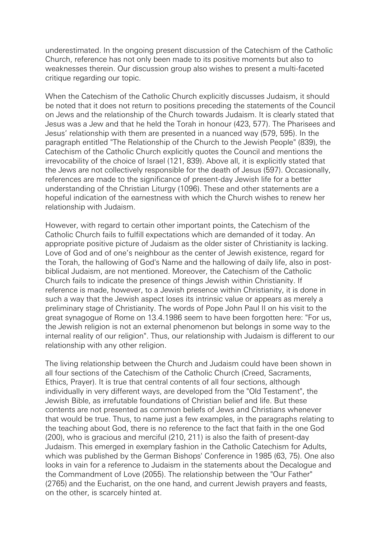underestimated. In the ongoing present discussion of the Catechism of the Catholic Church, reference has not only been made to its positive moments but also to weaknesses therein. Our discussion group also wishes to present a multi-faceted critique regarding our topic.

When the Catechism of the Catholic Church explicitly discusses Judaism, it should be noted that it does not return to positions preceding the statements of the Council on Jews and the relationship of the Church towards Judaism. It is clearly stated that Jesus was a Jew and that he held the Torah in honour (423, 577). The Pharisees and Jesus' relationship with them are presented in a nuanced way (579, 595). In the paragraph entitled "The Relationship of the Church to the Jewish People" (839), the Catechism of the Catholic Church explicitly quotes the Council and mentions the irrevocability of the choice of Israel (121, 839). Above all, it is explicitly stated that the Jews are not collectively responsible for the death of Jesus (597). Occasionally, references are made to the significance of present-day Jewish life for a better understanding of the Christian Liturgy (1096). These and other statements are a hopeful indication of the earnestness with which the Church wishes to renew her relationship with Judaism.

However, with regard to certain other important points, the Catechism of the Catholic Church fails to fulfill expectations which are demanded of it today. An appropriate positive picture of Judaism as the older sister of Christianity is lacking. Love of God and of one's neighbour as the center of Jewish existence, regard for the Torah, the hallowing of God's Name and the hallowing of daily life, also in postbiblical Judaism, are not mentioned. Moreover, the Catechism of the Catholic Church fails to indicate the presence of things Jewish within Christianity. If reference is made, however, to a Jewish presence within Christianity, it is done in such a way that the Jewish aspect loses its intrinsic value or appears as merely a preliminary stage of Christianity. The words of Pope John Paul II on his visit to the great synagogue of Rome on 13.4.1986 seem to have been forgotten here: "For us, the Jewish religion is not an external phenomenon but belongs in some way to the internal reality of our religion". Thus, our relationship with Judaism is different to our relationship with any other religion.

The living relationship between the Church and Judaism could have been shown in all four sections of the Catechism of the Catholic Church (Creed, Sacraments, Ethics, Prayer). It is true that central contents of all four sections, although individually in very different ways, are developed from the "Old Testament", the Jewish Bible, as irrefutable foundations of Christian belief and life. But these contents are not presented as common beliefs of Jews and Christians whenever that would be true. Thus, to name just a few examples, in the paragraphs relating to the teaching about God, there is no reference to the fact that faith in the one God (200), who is gracious and merciful (210, 211) is also the faith of present-day Judaism. This emerged in exemplary fashion in the Catholic Catechism for Adults, which was published by the German Bishops' Conference in 1985 (63, 75). One also looks in vain for a reference to Judaism in the statements about the Decalogue and the Commandment of Love (2055). The relationship between the "Our Father" (2765) and the Eucharist, on the one hand, and current Jewish prayers and feasts, on the other, is scarcely hinted at.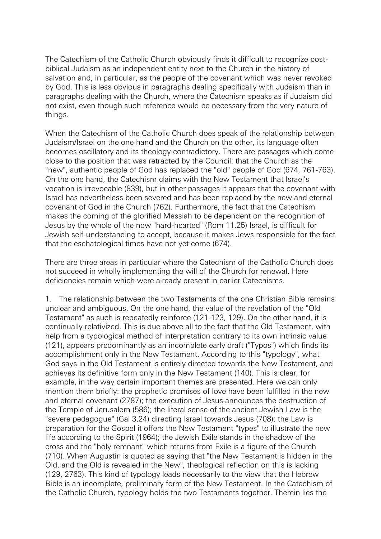The Catechism of the Catholic Church obviously finds it difficult to recognize postbiblical Judaism as an independent entity next to the Church in the history of salvation and, in particular, as the people of the covenant which was never revoked by God. This is less obvious in paragraphs dealing specifically with Judaism than in paragraphs dealing with the Church, where the Catechism speaks as if Judaism did not exist, even though such reference would be necessary from the very nature of things.

When the Catechism of the Catholic Church does speak of the relationship between Judaism/Israel on the one hand and the Church on the other, its language often becomes oscillatory and its theology contradictory. There are passages which come close to the position that was retracted by the Council: that the Church as the "new", authentic people of God has replaced the "old" people of God (674, 761-763). On the one hand, the Catechism claims with the New Testament that Israel's vocation is irrevocable (839), but in other passages it appears that the covenant with Israel has nevertheless been severed and has been replaced by the new and eternal covenant of God in the Church (762). Furthermore, the fact that the Catechism makes the coming of the glorified Messiah to be dependent on the recognition of Jesus by the whole of the now "hard-hearted" (Rom 11,25) Israel, is difficult for Jewish self-understanding to accept, because it makes Jews responsible for the fact that the eschatological times have not yet come (674).

There are three areas in particular where the Catechism of the Catholic Church does not succeed in wholly implementing the will of the Church for renewal. Here deficiencies remain which were already present in earlier Catechisms.

1. The relationship between the two Testaments of the one Christian Bible remains unclear and ambiguous. On the one hand, the value of the revelation of the "Old Testament" as such is repeatedly reinforce (121-123, 129). On the other hand, it is continually relativized. This is due above all to the fact that the Old Testament, with help from a typological method of interpretation contrary to its own intrinsic value (121), appears predominantly as an incomplete early draft ("Typos") which finds its accomplishment only in the New Testament. According to this "typology", what God says in the Old Testament is entirely directed towards the New Testament, and achieves its definitive form only in the New Testament (140). This is clear, for example, in the way certain important themes are presented. Here we can only mention them briefly: the prophetic promises of love have been fulfilled in the new and eternal covenant (2787); the execution of Jesus announces the destruction of the Temple of Jerusalem (586); the literal sense of the ancient Jewish Law is the "severe pedagogue" (Gal 3,24) directing Israel towards Jesus (708); the Law is preparation for the Gospel it offers the New Testament "types" to illustrate the new life according to the Spirit (1964); the Jewish Exile stands in the shadow of the cross and the "holy remnant" which returns from Exile is a figure of the Church (710). When Augustin is quoted as saying that "the New Testament is hidden in the Old, and the Old is revealed in the New", theological reflection on this is lacking (129, 2763). This kind of typology leads necessarily to the view that the Hebrew Bible is an incomplete, preliminary form of the New Testament. In the Catechism of the Catholic Church, typology holds the two Testaments together. Therein lies the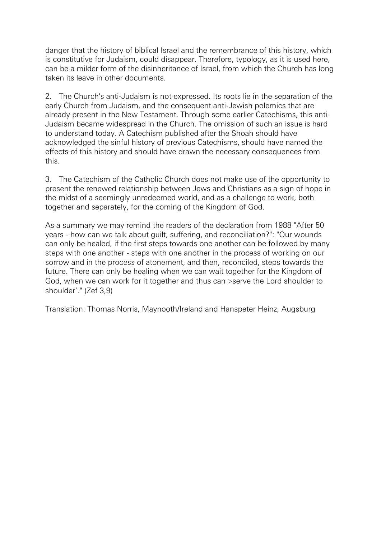danger that the history of biblical Israel and the remembrance of this history, which is constitutive for Judaism, could disappear. Therefore, typology, as it is used here, can be a milder form of the disinheritance of Israel, from which the Church has long taken its leave in other documents.

2. The Church's anti-Judaism is not expressed. Its roots lie in the separation of the early Church from Judaism, and the consequent anti-Jewish polemics that are already present in the New Testament. Through some earlier Catechisms, this anti-Judaism became widespread in the Church. The omission of such an issue is hard to understand today. A Catechism published after the Shoah should have acknowledged the sinful history of previous Catechisms, should have named the effects of this history and should have drawn the necessary consequences from this.

3. The Catechism of the Catholic Church does not make use of the opportunity to present the renewed relationship between Jews and Christians as a sign of hope in the midst of a seemingly unredeemed world, and as a challenge to work, both together and separately, for the coming of the Kingdom of God.

As a summary we may remind the readers of the declaration from 1988 "After 50 years - how can we talk about guilt, suffering, and reconciliation?": "Our wounds can only be healed, if the first steps towards one another can be followed by many steps with one another - steps with one another in the process of working on our sorrow and in the process of atonement, and then, reconciled, steps towards the future. There can only be healing when we can wait together for the Kingdom of God, when we can work for it together and thus can >serve the Lord shoulder to shoulder'." (Zef 3,9)

Translation: Thomas Norris, Maynooth/Ireland and Hanspeter Heinz, Augsburg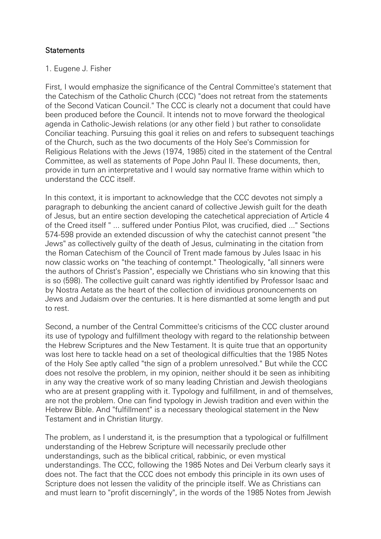# **Statements**

## 1. Eugene J. Fisher

First, I would emphasize the significance of the Central Committee's statement that the Catechism of the Catholic Church (CCC) "does not retreat from the statements of the Second Vatican Council." The CCC is clearly not a document that could have been produced before the Council. It intends not to move forward the theological agenda in Catholic-Jewish relations (or any other field ) but rather to consolidate Conciliar teaching. Pursuing this goal it relies on and refers to subsequent teachings of the Church, such as the two documents of the Holy See's Commission for Religious Relations with the Jews (1974, 1985) cited in the statement of the Central Committee, as well as statements of Pope John Paul II. These documents, then, provide in turn an interpretative and I would say normative frame within which to understand the CCC itself.

In this context, it is important to acknowledge that the CCC devotes not simply a paragraph to debunking the ancient canard of collective Jewish guilt for the death of Jesus, but an entire section developing the catechetical appreciation of Article 4 of the Creed itself " ... suffered under Pontius Pilot, was crucified, died ..." Sections 574-598 provide an extended discussion of why the catechist cannot present "the Jews" as collectively guilty of the death of Jesus, culminating in the citation from the Roman Catechism of the Council of Trent made famous by Jules Isaac in his now classic works on "the teaching of contempt." Theologically, "all sinners were the authors of Christ's Passion", especially we Christians who sin knowing that this is so (598). The collective guilt canard was rightly identified by Professor Isaac and by Nostra Aetate as the heart of the collection of invidious pronouncements on Jews and Judaism over the centuries. It is here dismantled at some length and put to rest.

Second, a number of the Central Committee's criticisms of the CCC cluster around its use of typology and fulfillment theology with regard to the relationship between the Hebrew Scriptures and the New Testament. It is quite true that an opportunity was lost here to tackle head on a set of theological difficulties that the 1985 Notes of the Holy See aptly called "the sign of a problem unresolved." But while the CCC does not resolve the problem, in my opinion, neither should it be seen as inhibiting in any way the creative work of so many leading Christian and Jewish theologians who are at present grappling with it. Typology and fulfillment, in and of themselves, are not the problem. One can find typology in Jewish tradition and even within the Hebrew Bible. And "fulfillment" is a necessary theological statement in the New Testament and in Christian liturgy.

The problem, as I understand it, is the presumption that a typological or fulfillment understanding of the Hebrew Scripture will necessarily preclude other understandings, such as the biblical critical, rabbinic, or even mystical understandings. The CCC, following the 1985 Notes and Dei Verbum clearly says it does not. The fact that the CCC does not embody this principle in its own uses of Scripture does not lessen the validity of the principle itself. We as Christians can and must learn to "profit discerningly", in the words of the 1985 Notes from Jewish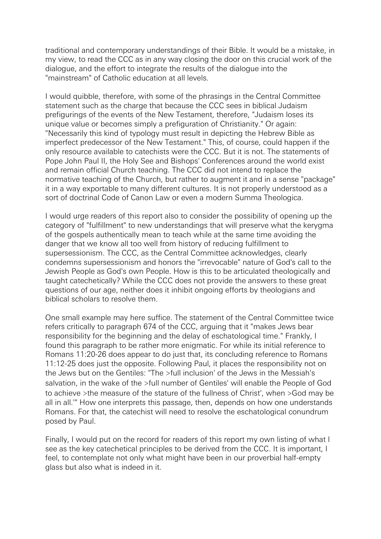traditional and contemporary understandings of their Bible. It would be a mistake, in my view, to read the CCC as in any way closing the door on this crucial work of the dialogue, and the effort to integrate the results of the dialogue into the "mainstream" of Catholic education at all levels.

I would quibble, therefore, with some of the phrasings in the Central Committee statement such as the charge that because the CCC sees in biblical Judaism prefigurings of the events of the New Testament, therefore, "Judaism loses its unique value or becomes simply a prefiguration of Christianity." Or again: "Necessarily this kind of typology must result in depicting the Hebrew Bible as imperfect predecessor of the New Testament." This, of course, could happen if the only resource available to catechists were the CCC. But it is not. The statements of Pope John Paul II, the Holy See and Bishops' Conferences around the world exist and remain official Church teaching. The CCC did not intend to replace the normative teaching of the Church, but rather to augment it and in a sense "package" it in a way exportable to many different cultures. It is not properly understood as a sort of doctrinal Code of Canon Law or even a modern Summa Theologica.

I would urge readers of this report also to consider the possibility of opening up the category of "fulfillment" to new understandings that will preserve what the kerygma of the gospels authentically mean to teach while at the same time avoiding the danger that we know all too well from history of reducing fulfillment to supersessionism. The CCC, as the Central Committee acknowledges, clearly condemns supersessionism and honors the "irrevocable" nature of God's call to the Jewish People as God's own People. How is this to be articulated theologically and taught catechetically? While the CCC does not provide the answers to these great questions of our age, neither does it inhibit ongoing efforts by theologians and biblical scholars to resolve them.

One small example may here suffice. The statement of the Central Committee twice refers critically to paragraph 674 of the CCC, arguing that it "makes Jews bear responsibility for the beginning and the delay of eschatological time." Frankly, I found this paragraph to be rather more enigmatic. For while its initial reference to Romans 11:20-26 does appear to do just that, its concluding reference to Romans 11:12-25 does just the opposite. Following Paul, it places the responsibility not on the Jews but on the Gentiles: "The >full inclusion' of the Jews in the Messiah's salvation, in the wake of the >full number of Gentiles' will enable the People of God to achieve >the measure of the stature of the fullness of Christ', when >God may be all in all.'" How one interprets this passage, then, depends on how one understands Romans. For that, the catechist will need to resolve the eschatological conundrum posed by Paul.

Finally, I would put on the record for readers of this report my own listing of what I see as the key catechetical principles to be derived from the CCC. It is important, I feel, to contemplate not only what might have been in our proverbial half-empty glass but also what is indeed in it.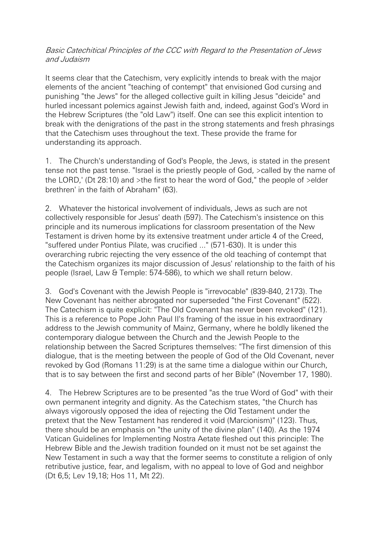### Basic Catechitical Principles of the CCC with Regard to the Presentation of Jews and Judaism

It seems clear that the Catechism, very explicitly intends to break with the major elements of the ancient "teaching of contempt" that envisioned God cursing and punishing "the Jews" for the alleged collective guilt in killing Jesus "deicide" and hurled incessant polemics against Jewish faith and, indeed, against God's Word in the Hebrew Scriptures (the "old Law") itself. One can see this explicit intention to break with the denigrations of the past in the strong statements and fresh phrasings that the Catechism uses throughout the text. These provide the frame for understanding its approach.

1. The Church's understanding of God's People, the Jews, is stated in the present tense not the past tense. "Israel is the priestly people of God, >called by the name of the LORD,' (Dt 28:10) and >the first to hear the word of God," the people of >elder brethren' in the faith of Abraham" (63).

2. Whatever the historical involvement of individuals, Jews as such are not collectively responsible for Jesus' death (597). The Catechism's insistence on this principle and its numerous implications for classroom presentation of the New Testament is driven home by its extensive treatment under article 4 of the Creed, "suffered under Pontius Pilate, was crucified ..." (571-630). It is under this overarching rubric rejecting the very essence of the old teaching of contempt that the Catechism organizes its major discussion of Jesus' relationship to the faith of his people (Israel, Law & Temple: 574-586), to which we shall return below.

3. God's Covenant with the Jewish People is "irrevocable" (839-840, 2173). The New Covenant has neither abrogated nor superseded "the First Covenant" (522). The Catechism is quite explicit: "The Old Covenant has never been revoked" (121). This is a reference to Pope John Paul II's framing of the issue in his extraordinary address to the Jewish community of Mainz, Germany, where he boldly likened the contemporary dialogue between the Church and the Jewish People to the relationship between the Sacred Scriptures themselves: "The first dimension of this dialogue, that is the meeting between the people of God of the Old Covenant, never revoked by God (Romans 11:29) is at the same time a dialogue within our Church, that is to say between the first and second parts of her Bible" (November 17, 1980).

4. The Hebrew Scriptures are to be presented "as the true Word of God" with their own permanent integrity and dignity. As the Catechism states, "the Church has always vigorously opposed the idea of rejecting the Old Testament under the pretext that the New Testament has rendered it void (Marcionism)" (123). Thus, there should be an emphasis on "the unity of the divine plan" (140). As the 1974 Vatican Guidelines for Implementing Nostra Aetate fleshed out this principle: The Hebrew Bible and the Jewish tradition founded on it must not be set against the New Testament in such a way that the former seems to constitute a religion of only retributive justice, fear, and legalism, with no appeal to love of God and neighbor (Dt 6,5; Lev 19,18; Hos 11, Mt 22).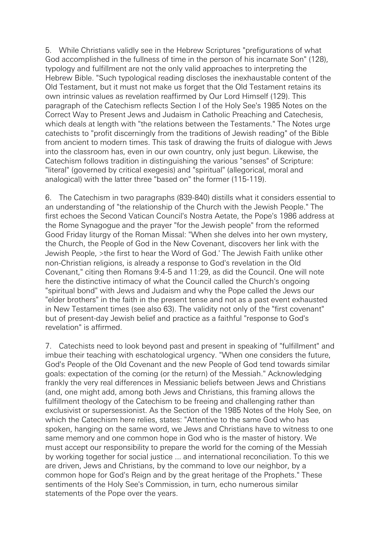5. While Christians validly see in the Hebrew Scriptures "prefigurations of what God accomplished in the fullness of time in the person of his incarnate Son" (128), typology and fulfillment are not the only valid approaches to interpreting the Hebrew Bible. "Such typological reading discloses the inexhaustable content of the Old Testament, but it must not make us forget that the Old Testament retains its own intrinsic values as revelation reaffirmed by Our Lord Himself (129). This paragraph of the Catechism reflects Section I of the Holy See's 1985 Notes on the Correct Way to Present Jews and Judaism in Catholic Preaching and Catechesis, which deals at length with "the relations between the Testaments." The Notes urge catechists to "profit discerningly from the traditions of Jewish reading" of the Bible from ancient to modern times. This task of drawing the fruits of dialogue with Jews into the classroom has, even in our own country, only just begun. Likewise, the Catechism follows tradition in distinguishing the various "senses" of Scripture: "literal" (governed by critical exegesis) and "spiritual" (allegorical, moral and analogical) with the latter three "based on" the former (115-119).

6. The Catechism in two paragraphs (839-840) distills what it considers essential to an understanding of "the relationship of the Church with the Jewish People." The first echoes the Second Vatican Council's Nostra Aetate, the Pope's 1986 address at the Rome Synagogue and the prayer "for the Jewish people" from the reformed Good Friday liturgy of the Roman Missal: "When she delves into her own mystery, the Church, the People of God in the New Covenant, discovers her link with the Jewish People, >the first to hear the Word of God.' The Jewish Faith unlike other non-Christian religions, is already a response to God's revelation in the Old Covenant," citing then Romans 9:4-5 and 11:29, as did the Council. One will note here the distinctive intimacy of what the Council called the Church's ongoing "spiritual bond" with Jews and Judaism and why the Pope called the Jews our "elder brothers" in the faith in the present tense and not as a past event exhausted in New Testament times (see also 63). The validity not only of the "first covenant" but of present-day Jewish belief and practice as a faithful "response to God's revelation" is affirmed.

7. Catechists need to look beyond past and present in speaking of "fulfillment" and imbue their teaching with eschatological urgency. "When one considers the future, God's People of the Old Covenant and the new People of God tend towards similar goals: expectation of the coming (or the return) of the Messiah." Acknowledging frankly the very real differences in Messianic beliefs between Jews and Christians (and, one might add, among both Jews and Christians, this framing allows the fulfillment theology of the Catechism to be freeing and challenging rather than exclusivist or supersessionist. As the Section of the 1985 Notes of the Holy See, on which the Catechism here relies, states: "Attentive to the same God who has spoken, hanging on the same word, we Jews and Christians have to witness to one same memory and one common hope in God who is the master of history. We must accept our responsibility to prepare the world for the coming of the Messiah by working together for social justice ... and international reconciliation. To this we are driven, Jews and Christians, by the command to love our neighbor, by a common hope for God's Reign and by the great heritage of the Prophets." These sentiments of the Holy See's Commission, in turn, echo numerous similar statements of the Pope over the years.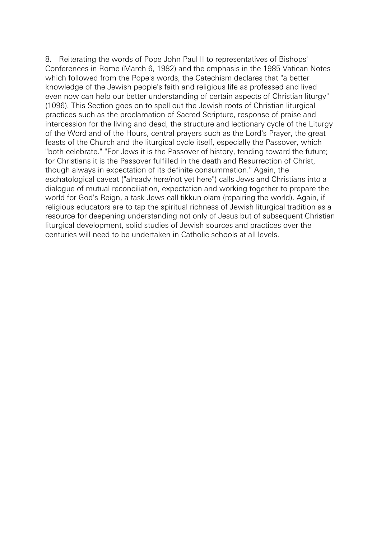8. Reiterating the words of Pope John Paul II to representatives of Bishops' Conferences in Rome (March 6, 1982) and the emphasis in the 1985 Vatican Notes which followed from the Pope's words, the Catechism declares that "a better knowledge of the Jewish people's faith and religious life as professed and lived even now can help our better understanding of certain aspects of Christian liturgy" (1096). This Section goes on to spell out the Jewish roots of Christian liturgical practices such as the proclamation of Sacred Scripture, response of praise and intercession for the living and dead, the structure and lectionary cycle of the Liturgy of the Word and of the Hours, central prayers such as the Lord's Prayer, the great feasts of the Church and the liturgical cycle itself, especially the Passover, which "both celebrate." "For Jews it is the Passover of history, tending toward the future; for Christians it is the Passover fulfilled in the death and Resurrection of Christ, though always in expectation of its definite consummation." Again, the eschatological caveat ("already here/not yet here") calls Jews and Christians into a dialogue of mutual reconciliation, expectation and working together to prepare the world for God's Reign, a task Jews call tikkun olam (repairing the world). Again, if religious educators are to tap the spiritual richness of Jewish liturgical tradition as a resource for deepening understanding not only of Jesus but of subsequent Christian liturgical development, solid studies of Jewish sources and practices over the centuries will need to be undertaken in Catholic schools at all levels.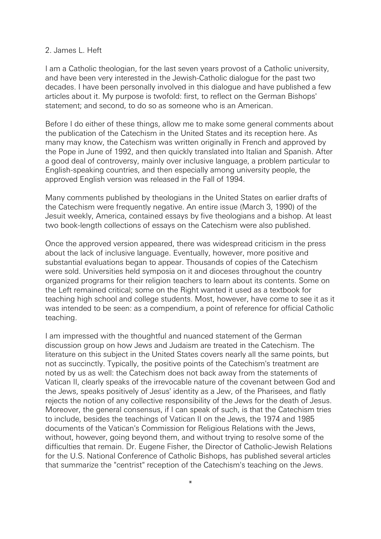#### 2. James L. Heft

I am a Catholic theologian, for the last seven years provost of a Catholic university, and have been very interested in the Jewish-Catholic dialogue for the past two decades. I have been personally involved in this dialogue and have published a few articles about it. My purpose is twofold: first, to reflect on the German Bishops' statement; and second, to do so as someone who is an American.

Before I do either of these things, allow me to make some general comments about the publication of the Catechism in the United States and its reception here. As many may know, the Catechism was written originally in French and approved by the Pope in June of 1992, and then quickly translated into Italian and Spanish. After a good deal of controversy, mainly over inclusive language, a problem particular to English-speaking countries, and then especially among university people, the approved English version was released in the Fall of 1994.

Many comments published by theologians in the United States on earlier drafts of the Catechism were frequently negative. An entire issue (March 3, 1990) of the Jesuit weekly, America, contained essays by five theologians and a bishop. At least two book-length collections of essays on the Catechism were also published.

Once the approved version appeared, there was widespread criticism in the press about the lack of inclusive language. Eventually, however, more positive and substantial evaluations began to appear. Thousands of copies of the Catechism were sold. Universities held symposia on it and dioceses throughout the country organized programs for their religion teachers to learn about its contents. Some on the Left remained critical; some on the Right wanted it used as a textbook for teaching high school and college students. Most, however, have come to see it as it was intended to be seen: as a compendium, a point of reference for official Catholic teaching.

I am impressed with the thoughtful and nuanced statement of the German discussion group on how Jews and Judaism are treated in the Catechism. The literature on this subject in the United States covers nearly all the same points, but not as succinctly. Typically, the positive points of the Catechism's treatment are noted by us as well: the Catechism does not back away from the statements of Vatican II, clearly speaks of the irrevocable nature of the covenant between God and the Jews, speaks positively of Jesus' identity as a Jew, of the Pharisees, and flatly rejects the notion of any collective responsibility of the Jews for the death of Jesus. Moreover, the general consensus, if I can speak of such, is that the Catechism tries to include, besides the teachings of Vatican II on the Jews, the 1974 and 1985 documents of the Vatican's Commission for Religious Relations with the Jews, without, however, going beyond them, and without trying to resolve some of the difficulties that remain. Dr. Eugene Fisher, the Director of Catholic-Jewish Relations for the U.S. National Conference of Catholic Bishops, has published several articles that summarize the "centrist" reception of the Catechism's teaching on the Jews.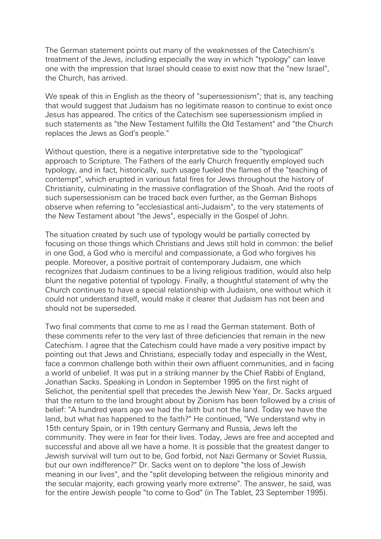The German statement points out many of the weaknesses of the Catechism's treatment of the Jews, including especially the way in which "typology" can leave one with the impression that Israel should cease to exist now that the "new Israel", the Church, has arrived.

We speak of this in English as the theory of "supersessionism"; that is, any teaching that would suggest that Judaism has no legitimate reason to continue to exist once Jesus has appeared. The critics of the Catechism see supersessionism implied in such statements as "the New Testament fulfills the Old Testament" and "the Church replaces the Jews as God's people."

Without question, there is a negative interpretative side to the "typological" approach to Scripture. The Fathers of the early Church frequently employed such typology, and in fact, historically, such usage fueled the flames of the "teaching of contempt", which erupted in various fatal fires for Jews throughout the history of Christianity, culminating in the massive conflagration of the Shoah. And the roots of such supersessionism can be traced back even further, as the German Bishops observe when referring to "ecclesiastical anti-Judaism", to the very statements of the New Testament about "the Jews", especially in the Gospel of John.

The situation created by such use of typology would be partially corrected by focusing on those things which Christians and Jews still hold in common: the belief in one God, a God who is merciful and compassionate, a God who forgives his people. Moreover, a positive portrait of contemporary Judaism, one which recognizes that Judaism continues to be a living religious tradition, would also help blunt the negative potential of typology. Finally, a thoughtful statement of why the Church continues to have a special relationship with Judaism, one without which it could not understand itself, would make it clearer that Judaism has not been and should not be superseded.

Two final comments that come to me as I read the German statement. Both of these comments refer to the very last of three deficiencies that remain in the new Catechism. I agree that the Catechism could have made a very positive impact by pointing out that Jews and Christians, especially today and especially in the West, face a common challenge both within their own affluent communities, and in facing a world of unbelief. It was put in a striking manner by the Chief Rabbi of England, Jonathan Sacks. Speaking in London in September 1995 on the first night of Selichot, the penitential spell that precedes the Jewish New Year, Dr. Sacks argued that the return to the land brought about by Zionism has been followed by a crisis of belief: "A hundred years ago we had the faith but not the land. Today we have the land, but what has happened to the faith?" He continued, "We understand why in 15th century Spain, or in 19th century Germany and Russia, Jews left the community. They were in fear for their lives. Today, Jews are free and accepted and successful and above all we have a home. It is possible that the greatest danger to Jewish survival will turn out to be, God forbid, not Nazi Germany or Soviet Russia, but our own indifference?" Dr. Sacks went on to deplore "the loss of Jewish meaning in our lives", and the "split developing between the religious minority and the secular majority, each growing yearly more extreme". The answer, he said, was for the entire Jewish people "to come to God" (in The Tablet, 23 September 1995).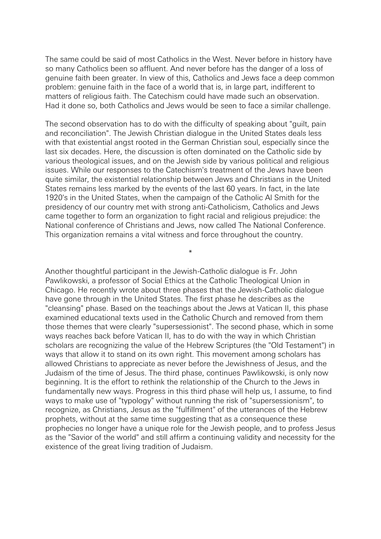The same could be said of most Catholics in the West. Never before in history have so many Catholics been so affluent. And never before has the danger of a loss of genuine faith been greater. In view of this, Catholics and Jews face a deep common problem: genuine faith in the face of a world that is, in large part, indifferent to matters of religious faith. The Catechism could have made such an observation. Had it done so, both Catholics and Jews would be seen to face a similar challenge.

The second observation has to do with the difficulty of speaking about "guilt, pain and reconciliation". The Jewish Christian dialogue in the United States deals less with that existential angst rooted in the German Christian soul, especially since the last six decades. Here, the discussion is often dominated on the Catholic side by various theological issues, and on the Jewish side by various political and religious issues. While our responses to the Catechism's treatment of the Jews have been quite similar, the existential relationship between Jews and Christians in the United States remains less marked by the events of the last 60 years. In fact, in the late 1920's in the United States, when the campaign of the Catholic Al Smith for the presidency of our country met with strong anti-Catholicism, Catholics and Jews came together to form an organization to fight racial and religious prejudice: the National conference of Christians and Jews, now called The National Conference. This organization remains a vital witness and force throughout the country.

\*

Another thoughtful participant in the Jewish-Catholic dialogue is Fr. John Pawlikowski, a professor of Social Ethics at the Catholic Theological Union in Chicago. He recently wrote about three phases that the Jewish-Catholic dialogue have gone through in the United States. The first phase he describes as the "cleansing" phase. Based on the teachings about the Jews at Vatican II, this phase examined educational texts used in the Catholic Church and removed from them those themes that were clearly "supersessionist". The second phase, which in some ways reaches back before Vatican II, has to do with the way in which Christian scholars are recognizing the value of the Hebrew Scriptures (the "Old Testament") in ways that allow it to stand on its own right. This movement among scholars has allowed Christians to appreciate as never before the Jewishness of Jesus, and the Judaism of the time of Jesus. The third phase, continues Pawlikowski, is only now beginning. It is the effort to rethink the relationship of the Church to the Jews in fundamentally new ways. Progress in this third phase will help us, I assume, to find ways to make use of "typology" without running the risk of "supersessionism", to recognize, as Christians, Jesus as the "fulfillment" of the utterances of the Hebrew prophets, without at the same time suggesting that as a consequence these prophecies no longer have a unique role for the Jewish people, and to profess Jesus as the "Savior of the world" and still affirm a continuing validity and necessity for the existence of the great living tradition of Judaism.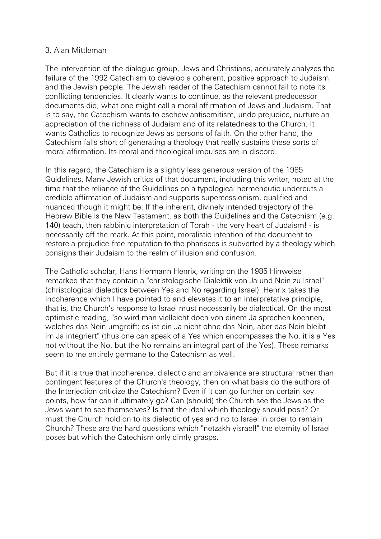#### 3. Alan Mittleman

The intervention of the dialogue group, Jews and Christians, accurately analyzes the failure of the 1992 Catechism to develop a coherent, positive approach to Judaism and the Jewish people. The Jewish reader of the Catechism cannot fail to note its conflicting tendencies. It clearly wants to continue, as the relevant predecessor documents did, what one might call a moral affirmation of Jews and Judaism. That is to say, the Catechism wants to eschew antisemitism, undo prejudice, nurture an appreciation of the richness of Judaism and of its relatedness to the Church. It wants Catholics to recognize Jews as persons of faith. On the other hand, the Catechism falls short of generating a theology that really sustains these sorts of moral affirmation. Its moral and theological impulses are in discord.

In this regard, the Catechism is a slightly less generous version of the 1985 Guidelines. Many Jewish critics of that document, including this writer, noted at the time that the reliance of the Guidelines on a typological hermeneutic undercuts a credible affirmation of Judaism and supports supercessionism, qualified and nuanced though it might be. If the inherent, divinely intended trajectory of the Hebrew Bible is the New Testament, as both the Guidelines and the Catechism (e.g. 140) teach, then rabbinic interpretation of Torah - the very heart of Judaism! - is necessarily off the mark. At this point, moralistic intention of the document to restore a prejudice-free reputation to the pharisees is subverted by a theology which consigns their Judaism to the realm of illusion and confusion.

The Catholic scholar, Hans Hermann Henrix, writing on the 1985 Hinweise remarked that they contain a "christologische Dialektik von Ja und Nein zu Israel" (christological dialectics between Yes and No regarding Israel). Henrix takes the incoherence which I have pointed to and elevates it to an interpretative principle, that is, the Church's response to Israel must necessarily be dialectical. On the most optimistic reading, "so wird man vielleicht doch von einem Ja sprechen koennen, welches das Nein umgreift; es ist ein Ja nicht ohne das Nein, aber das Nein bleibt im Ja integriert" (thus one can speak of a Yes which encompasses the No, it is a Yes not without the No, but the No remains an integral part of the Yes). These remarks seem to me entirely germane to the Catechism as well.

But if it is true that incoherence, dialectic and ambivalence are structural rather than contingent features of the Church's theology, then on what basis do the authors of the Interjection criticize the Catechism? Even if it can go further on certain key points, how far can it ultimately go? Can (should) the Church see the Jews as the Jews want to see themselves? Is that the ideal which theology should posit? Or must the Church hold on to its dialectic of yes and no to Israel in order to remain Church? These are the hard questions which "netzakh yisrael!" the eternity of Israel poses but which the Catechism only dimly grasps.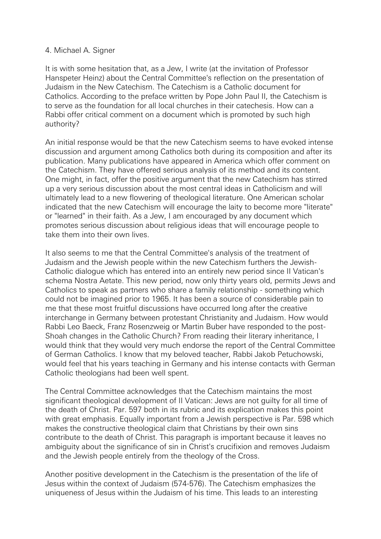#### 4. Michael A. Signer

It is with some hesitation that, as a Jew, I write (at the invitation of Professor Hanspeter Heinz) about the Central Committee's reflection on the presentation of Judaism in the New Catechism. The Catechism is a Catholic document for Catholics. According to the preface written by Pope John Paul II, the Catechism is to serve as the foundation for all local churches in their catechesis. How can a Rabbi offer critical comment on a document which is promoted by such high authority?

An initial response would be that the new Catechism seems to have evoked intense discussion and argument among Catholics both during its composition and after its publication. Many publications have appeared in America which offer comment on the Catechism. They have offered serious analysis of its method and its content. One might, in fact, offer the positive argument that the new Catechism has stirred up a very serious discussion about the most central ideas in Catholicism and will ultimately lead to a new flowering of theological literature. One American scholar indicated that the new Catechism will encourage the laity to become more "literate" or "learned" in their faith. As a Jew, I am encouraged by any document which promotes serious discussion about religious ideas that will encourage people to take them into their own lives.

It also seems to me that the Central Committee's analysis of the treatment of Judaism and the Jewish people within the new Catechism furthers the Jewish-Catholic dialogue which has entered into an entirely new period since II Vatican's schema Nostra Aetate. This new period, now only thirty years old, permits Jews and Catholics to speak as partners who share a family relationship - something which could not be imagined prior to 1965. It has been a source of considerable pain to me that these most fruitful discussions have occurred long after the creative interchange in Germany between protestant Christianity and Judaism. How would Rabbi Leo Baeck, Franz Rosenzweig or Martin Buber have responded to the post-Shoah changes in the Catholic Church? From reading their literary inheritance, I would think that they would very much endorse the report of the Central Committee of German Catholics. I know that my beloved teacher, Rabbi Jakob Petuchowski, would feel that his years teaching in Germany and his intense contacts with German Catholic theologians had been well spent.

The Central Committee acknowledges that the Catechism maintains the most significant theological development of II Vatican: Jews are not guilty for all time of the death of Christ. Par. 597 both in its rubric and its explication makes this point with great emphasis. Equally important from a Jewish perspective is Par. 598 which makes the constructive theological claim that Christians by their own sins contribute to the death of Christ. This paragraph is important because it leaves no ambiguity about the significance of sin in Christ's crucifixion and removes Judaism and the Jewish people entirely from the theology of the Cross.

Another positive development in the Catechism is the presentation of the life of Jesus within the context of Judaism (574-576). The Catechism emphasizes the uniqueness of Jesus within the Judaism of his time. This leads to an interesting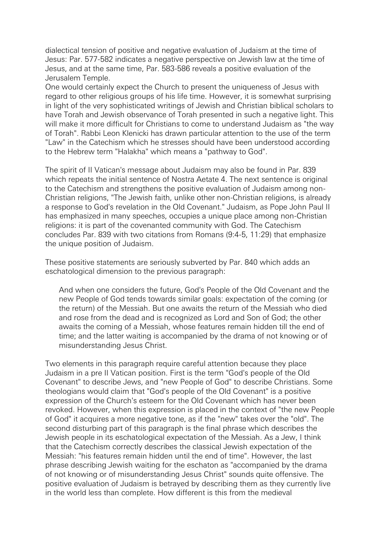dialectical tension of positive and negative evaluation of Judaism at the time of Jesus: Par. 577-582 indicates a negative perspective on Jewish law at the time of Jesus, and at the same time, Par. 583-586 reveals a positive evaluation of the Jerusalem Temple.

One would certainly expect the Church to present the uniqueness of Jesus with regard to other religious groups of his life time. However, it is somewhat surprising in light of the very sophisticated writings of Jewish and Christian biblical scholars to have Torah and Jewish observance of Torah presented in such a negative light. This will make it more difficult for Christians to come to understand Judaism as "the way of Torah". Rabbi Leon Klenicki has drawn particular attention to the use of the term "Law" in the Catechism which he stresses should have been understood according to the Hebrew term "Halakha" which means a "pathway to God".

The spirit of II Vatican's message about Judaism may also be found in Par. 839 which repeats the initial sentence of Nostra Aetate 4. The next sentence is original to the Catechism and strengthens the positive evaluation of Judaism among non-Christian religions, "The Jewish faith, unlike other non-Christian religions, is already a response to God's revelation in the Old Covenant." Judaism, as Pope John Paul II has emphasized in many speeches, occupies a unique place among non-Christian religions: it is part of the covenanted community with God. The Catechism concludes Par. 839 with two citations from Romans (9:4-5, 11:29) that emphasize the unique position of Judaism.

These positive statements are seriously subverted by Par. 840 which adds an eschatological dimension to the previous paragraph:

And when one considers the future, God's People of the Old Covenant and the new People of God tends towards similar goals: expectation of the coming (or the return) of the Messiah. But one awaits the return of the Messiah who died and rose from the dead and is recognized as Lord and Son of God; the other awaits the coming of a Messiah, whose features remain hidden till the end of time; and the latter waiting is accompanied by the drama of not knowing or of misunderstanding Jesus Christ.

Two elements in this paragraph require careful attention because they place Judaism in a pre II Vatican position. First is the term "God's people of the Old Covenant" to describe Jews, and "new People of God" to describe Christians. Some theologians would claim that "God's people of the Old Covenant" is a positive expression of the Church's esteem for the Old Covenant which has never been revoked. However, when this expression is placed in the context of "the new People of God" it acquires a more negative tone, as if the "new" takes over the "old". The second disturbing part of this paragraph is the final phrase which describes the Jewish people in its eschatological expectation of the Messiah. As a Jew, I think that the Catechism correctly describes the classical Jewish expectation of the Messiah: "his features remain hidden until the end of time". However, the last phrase describing Jewish waiting for the eschaton as "accompanied by the drama of not knowing or of misunderstanding Jesus Christ" sounds quite offensive. The positive evaluation of Judaism is betrayed by describing them as they currently live in the world less than complete. How different is this from the medieval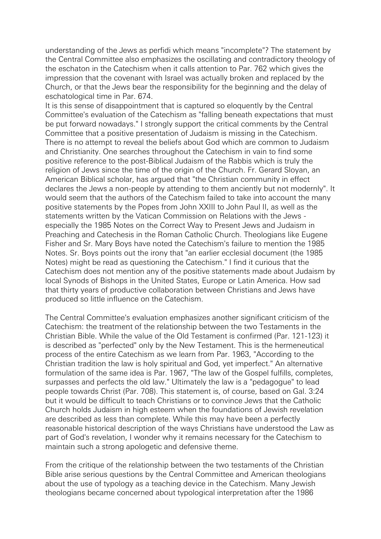understanding of the Jews as perfidi which means "incomplete"? The statement by the Central Committee also emphasizes the oscillating and contradictory theology of the eschaton in the Catechism when it calls attention to Par. 762 which gives the impression that the covenant with Israel was actually broken and replaced by the Church, or that the Jews bear the responsibility for the beginning and the delay of eschatological time in Par. 674.

It is this sense of disappointment that is captured so eloquently by the Central Committee's evaluation of the Catechism as "falling beneath expectations that must be put forward nowadays." I strongly support the critical comments by the Central Committee that a positive presentation of Judaism is missing in the Catechism. There is no attempt to reveal the beliefs about God which are common to Judaism and Christianity. One searches throughout the Catechism in vain to find some positive reference to the post-Biblical Judaism of the Rabbis which is truly the religion of Jews since the time of the origin of the Church. Fr. Gerard Sloyan, an American Biblical scholar, has argued that "the Christian community in effect declares the Jews a non-people by attending to them anciently but not modernly". It would seem that the authors of the Catechism failed to take into account the many positive statements by the Popes from John XXIII to John Paul II, as well as the statements written by the Vatican Commission on Relations with the Jews especially the 1985 Notes on the Correct Way to Present Jews and Judaism in Preaching and Catechesis in the Roman Catholic Church. Theologians like Eugene Fisher and Sr. Mary Boys have noted the Catechism's failure to mention the 1985 Notes. Sr. Boys points out the irony that "an earlier ecclesial document (the 1985 Notes) might be read as questioning the Catechism." I find it curious that the Catechism does not mention any of the positive statements made about Judaism by local Synods of Bishops in the United States, Europe or Latin America. How sad that thirty years of productive collaboration between Christians and Jews have produced so little influence on the Catechism.

The Central Committee's evaluation emphasizes another significant criticism of the Catechism: the treatment of the relationship between the two Testaments in the Christian Bible. While the value of the Old Testament is confirmed (Par. 121-123) it is described as "perfected" only by the New Testament. This is the hermeneutical process of the entire Catechism as we learn from Par. 1963, "According to the Christian tradition the law is holy spiritual and God, yet imperfect." An alternative formulation of the same idea is Par. 1967, "The law of the Gospel fulfills, completes, surpasses and perfects the old law." Ultimately the law is a "pedagogue" to lead people towards Christ (Par. 708). This statement is, of course, based on Gal. 3:24 but it would be difficult to teach Christians or to convince Jews that the Catholic Church holds Judaism in high esteem when the foundations of Jewish revelation are described as less than complete. While this may have been a perfectly reasonable historical description of the ways Christians have understood the Law as part of God's revelation, I wonder why it remains necessary for the Catechism to maintain such a strong apologetic and defensive theme.

From the critique of the relationship between the two testaments of the Christian Bible arise serious questions by the Central Committee and American theologians about the use of typology as a teaching device in the Catechism. Many Jewish theologians became concerned about typological interpretation after the 1986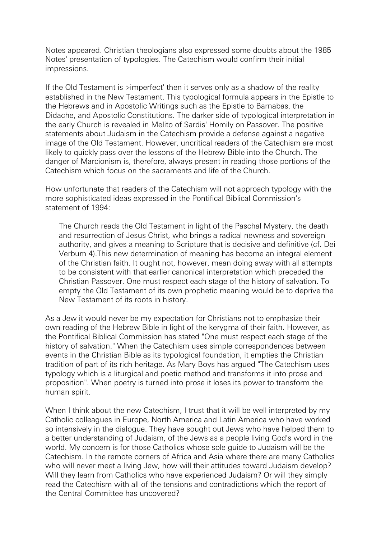Notes appeared. Christian theologians also expressed some doubts about the 1985 Notes' presentation of typologies. The Catechism would confirm their initial impressions.

If the Old Testament is >imperfect' then it serves only as a shadow of the reality established in the New Testament. This typological formula appears in the Epistle to the Hebrews and in Apostolic Writings such as the Epistle to Barnabas, the Didache, and Apostolic Constitutions. The darker side of typological interpretation in the early Church is revealed in Melito of Sardis' Homily on Passover. The positive statements about Judaism in the Catechism provide a defense against a negative image of the Old Testament. However, uncritical readers of the Catechism are most likely to quickly pass over the lessons of the Hebrew Bible into the Church. The danger of Marcionism is, therefore, always present in reading those portions of the Catechism which focus on the sacraments and life of the Church.

How unfortunate that readers of the Catechism will not approach typology with the more sophisticated ideas expressed in the Pontifical Biblical Commission's statement of 1994:

The Church reads the Old Testament in light of the Paschal Mystery, the death and resurrection of Jesus Christ, who brings a radical newness and sovereign authority, and gives a meaning to Scripture that is decisive and definitive (cf. Dei Verbum 4).This new determination of meaning has become an integral element of the Christian faith. It ought not, however, mean doing away with all attempts to be consistent with that earlier canonical interpretation which preceded the Christian Passover. One must respect each stage of the history of salvation. To empty the Old Testament of its own prophetic meaning would be to deprive the New Testament of its roots in history.

As a Jew it would never be my expectation for Christians not to emphasize their own reading of the Hebrew Bible in light of the kerygma of their faith. However, as the Pontifical Biblical Commission has stated "One must respect each stage of the history of salvation." When the Catechism uses simple correspondences between events in the Christian Bible as its typological foundation, it empties the Christian tradition of part of its rich heritage. As Mary Boys has argued "The Catechism uses typology which is a liturgical and poetic method and transforms it into prose and proposition". When poetry is turned into prose it loses its power to transform the human spirit.

When I think about the new Catechism, I trust that it will be well interpreted by my Catholic colleagues in Europe, North America and Latin America who have worked so intensively in the dialogue. They have sought out Jews who have helped them to a better understanding of Judaism, of the Jews as a people living God's word in the world. My concern is for those Catholics whose sole guide to Judaism will be the Catechism. In the remote corners of Africa and Asia where there are many Catholics who will never meet a living Jew, how will their attitudes toward Judaism develop? Will they learn from Catholics who have experienced Judaism? Or will they simply read the Catechism with all of the tensions and contradictions which the report of the Central Committee has uncovered?